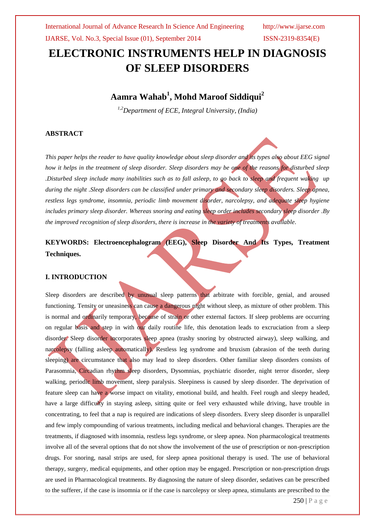# **ELECTRONIC INSTRUMENTS HELP IN DIAGNOSIS OF SLEEP DISORDERS**

## **Aamra Wahab<sup>1</sup> , Mohd Maroof Siddiqui<sup>2</sup>**

*1,2Department of ECE, Integral University, (India)*

#### **ABSTRACT**

*This paper helps the reader to have quality knowledge about sleep disorder and its types also about EEG signal how it helps in the treatment of sleep disorder. Sleep disorders may be one of the reasons for disturbed sleep .Disturbed sleep include many inabilities such as to fall asleep, to go back to sleep and frequent waking up during the night .Sleep disorders can be classified under primary and secondary sleep disorders. Sleep apnea, restless legs syndrome, insomnia, periodic limb movement disorder, narcolepsy, and adequate sleep hygiene includes primary sleep disorder. Whereas snoring and eating sleep order includes secondary sleep disorder .By the improved recognition of sleep disorders, there is increase in the variety of treatments available*.

## **KEYWORDS: Electroencephalogram (EEG), Sleep Disorder And Its Types, Treatment Techniques.**

#### **I. INTRODUCTION**

Sleep disorders are described by unusual sleep patterns that arbitrate with forcible, genial, and aroused functioning. Tensity or uneasiness can cause a dangerous night without sleep, as mixture of other problem. This is normal and ordinarily temporary, because of strain or other external factors. If sleep problems are occurring on regular basis and step in with our daily routine life, this denotation leads to excruciation from a sleep disorder. Sleep disorder incorporates sleep apnea (trashy snoring by obstructed airway), sleep walking, and narcolepsy (falling asleep automatically). Restless leg syndrome and bruxism (abrasion of the teeth during sleeping) are circumstance that also may lead to sleep disorders. Other familiar sleep disorders consists of Parasomnia, Circadian rhythm sleep disorders, Dysomnias, psychiatric disorder, night terror disorder, sleep walking, periodic limb movement, sleep paralysis. Sleepiness is caused by sleep disorder. The deprivation of feature sleep can have a worse impact on vitality, emotional build, and health. Feel rough and sleepy headed, have a large difficulty in staying asleep, sitting quite or feel very exhausted while driving, have trouble in concentrating, to feel that a nap is required are indications of sleep disorders. Every sleep disorder is unparallel and few imply compounding of various treatments, including medical and behavioral changes. Therapies are the treatments, if diagnosed with insomnia, restless legs syndrome, or sleep apnea. Non pharmacological treatments involve all of the several options that do not show the involvement of the use of prescription or non-prescription drugs. For snoring, nasal strips are used, for sleep apnea positional therapy is used. The use of behavioral therapy, surgery, medical equipments, and other option may be engaged. Prescription or non-prescription drugs are used in Pharmacological treatments. By diagnosing the nature of sleep disorder, sedatives can be prescribed to the sufferer, if the case is insomnia or if the case is narcolepsy or sleep apnea, stimulants are prescribed to the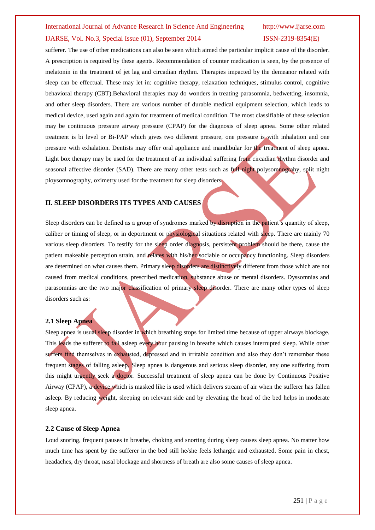sufferer. The use of other medications can also be seen which aimed the particular implicit cause of the disorder. A prescription is required by these agents. Recommendation of counter medication is seen, by the presence of melatonin in the treatment of jet lag and circadian rhythm. Therapies impacted by the demeanor related with sleep can be effectual. These may let in: cognitive therapy, relaxation techniques, stimulus control, cognitive behavioral therapy (CBT).Behavioral therapies may do wonders in treating parasomnia, bedwetting, insomnia, and other sleep disorders. There are various number of durable medical equipment selection, which leads to medical device, used again and again for treatment of medical condition. The most classifiable of these selection may be continuous pressure airway pressure (CPAP) for the diagnosis of sleep apnea. Some other related treatment is bi level or Bi-PAP which gives two different pressure, one pressure is with inhalation and one pressure with exhalation. Dentists may offer oral appliance and mandibular for the treatment of sleep apnea. Light box therapy may be used for the treatment of an individual suffering from circadian rhythm disorder and seasonal affective disorder (SAD). There are many other tests such as full night polysomnograhy, split night ploysomnography, oximetry used for the treatment for sleep disorders.

#### **II. SLEEP DISORDERS ITS TYPES AND CAUSES**

Sleep disorders can be defined as a group of syndromes marked by disruption in the patient's quantity of sleep, caliber or timing of sleep, or in deportment or physiological situations related with sleep. There are mainly 70 various sleep disorders. To testify for the sleep order diagnosis, persistent problem should be there, cause the patient makeable perception strain, and relates with his/her sociable or occupancy functioning. Sleep disorders are determined on what causes them. Primary sleep disorders are distinctively different from those which are not caused from medical conditions, prescribed medication, substance abuse or mental disorders. Dyssomnias and parasomnias are the two major classification of primary sleep disorder. There are many other types of sleep disorders such as:

#### **2.1 Sleep Apnea**

Sleep apnea is usual sleep disorder in which breathing stops for limited time because of upper airways blockage. This leads the sufferer to fall asleep every hour pausing in breathe which causes interrupted sleep. While other suffers find themselves in exhausted, depressed and in irritable condition and also they don't remember these frequent stages of falling asleep. Sleep apnea is dangerous and serious sleep disorder, any one suffering from this might urgently seek a doctor. Successful treatment of sleep apnea can be done by Continuous Positive Airway (CPAP), a device which is masked like is used which delivers stream of air when the sufferer has fallen asleep. By reducing weight, sleeping on relevant side and by elevating the head of the bed helps in moderate sleep apnea.

#### **2.2 Cause of Sleep Apnea**

Loud snoring, frequent pauses in breathe, choking and snorting during sleep causes sleep apnea. No matter how much time has spent by the sufferer in the bed still he/she feels lethargic and exhausted. Some pain in chest, headaches, dry throat, nasal blockage and shortness of breath are also some causes of sleep apnea.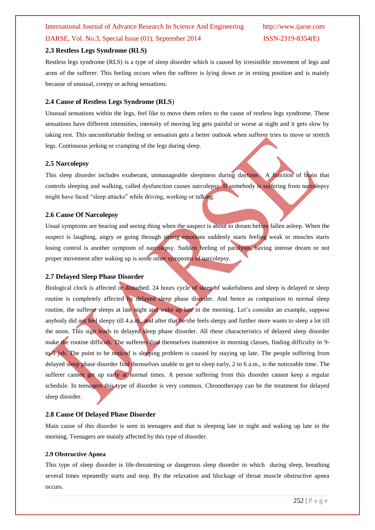#### **2.3 Restless Legs Syndrome (RLS)**

Restless legs syndrome (RLS) is a type of sleep disorder which is caused by irresistible movement of legs and arms of the sufferer. This feeling occurs when the sufferer is lying down or in resting position and is mainly because of unusual, creepy or aching sensations.

#### **2.4 Cause of Restless Legs Syndrome (RLS**)

Unusual sensations within the legs, feel like to move them refers to the cause of restless legs syndrome. These sensations have different intensities, intensity of moving leg gets painful or worse at night and it gets slow by taking rest. This uncomfortable feeling or sensation gets a better outlook when sufferer tries to move or stretch legs. Continuous jerking or cramping of the legs during sleep.

#### **2.5 Narcolepsy**

This sleep disorder includes exuberant, unmanageable sleepiness during daytime. A function of brain that controls sleeping and walking, called dysfunction causes narcolepsy. If somebody is suffering from narcolepsy might have faced "sleep attacks" while driving, working or talking.

#### **2.6 Cause Of Narcolepsy**

Usual symptoms are hearing and seeing thing when the suspect is about to dream before fallen asleep. When the suspect is laughing, angry or going through strong emotions suddenly starts feeling weak or muscles starts losing control is another symptom of narcolepsy. Sudden feeling of paralysis, having intense dream or not proper movement after waking up is some other symptoms of narcolepsy.

#### **2.7 Delayed Sleep Phase Disorder**

Biological clock is affected or disturbed. 24 hours cycle of sleep of wakefulness and sleep is delayed or sleep routine is completely affected by delayed sleep phase disorder. And hence as comparison to normal sleep routine, the sufferer sleeps at late night and wake up late in the morning. Let's consider an example, suppose anybody did not feel sleepy till 4.a.m., and after that he/she feels sleepy and further more wants to sleep a lot till the noon. This sign leads to delayed sleep phase disorder. All these characteristics of delayed sleep disorder make the routine difficult. The sufferers find themselves inattentive in morning classes, finding difficulty in 9 to-5 job. The point to be noticed is sleeping problem is caused by staying up late. The people suffering from delayed sleep phase disorder find themselves unable to get to sleep early, 2 to 6 a.m., is the noticeable time. The sufferer cannot get up early at normal times. A person suffering from this disorder cannot keep a regular schedule. In teenagers this type of disorder is very common. Chronotherapy can be the treatment for delayed sleep disorder.

#### **2.8 Cause Of Delayed Phase Disorder**

Main cause of this disorder is seen in teenagers and that is sleeping late in night and waking up late in the morning. Teenagers are mainly affected by this type of disorder.

#### **2.9 Obstructive Apnea**

This type of sleep disorder is life-threatening or dangerous sleep disorder in which during sleep, breathing several times repeatedly starts and stop. By the relaxation and blockage of throat muscle obstructive apnea occurs.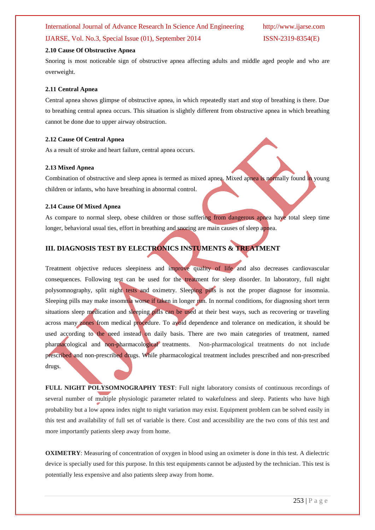#### **2.10 Cause Of Obstructive Apnea**

Snoring is most noticeable sign of obstructive apnea affecting adults and middle aged people and who are overweight.

#### **2.11 Central Apnea**

Central apnea shows glimpse of obstructive apnea, in which repeatedly start and stop of breathing is there. Due to breathing central apnea occurs. This situation is slightly different from obstructive apnea in which breathing cannot be done due to upper airway obstruction.

### **2.12 Cause Of Central Apnea**

As a result of stroke and heart failure, central apnea occurs.

#### **2.13 Mixed Apnea**

Combination of obstructive and sleep apnea is termed as mixed apnea. Mixed apnea is normally found in young children or infants, who have breathing in abnormal control.

### **2.14 Cause Of Mixed Apnea**

As compare to normal sleep, obese children or those suffering from dangerous apnea have total sleep time longer, behavioral usual ties, effort in breathing and snoring are main causes of sleep apnea.

## **III. DIAGNOSIS TEST BY ELECTRONICS INSTUMENTS & TREATMENT**

Treatment objective reduces sleepiness and improve quality of life and also decreases cardiovascular consequences. Following test can be used for the treatment for sleep disorder. In laboratory, full night polysomnography, split night tests and oximetry. Sleeping pills is not the proper diagnose for insomnia. Sleeping pills may make insomnia worse if taken in longer run. In normal conditions, for diagnosing short term situations sleep medication and sleeping pills can be used at their best ways, such as recovering or traveling across many zones from medical procedure. To avoid dependence and tolerance on medication, it should be used according to the need instead on daily basis. There are two main categories of treatment, named pharmacological and non-pharmacological treatments. Non-pharmacological treatments do not include prescribed and non-prescribed drugs. While pharmacological treatment includes prescribed and non-prescribed drugs.

**FULL NIGHT POLYSOMNOGRAPHY TEST**: Full night laboratory consists of continuous recordings of several number of multiple physiologic parameter related to wakefulness and sleep. Patients who have high probability but a low apnea index night to night variation may exist. Equipment problem can be solved easily in this test and availability of full set of variable is there. Cost and accessibility are the two cons of this test and more importantly patients sleep away from home.

**OXIMETRY:** Measuring of concentration of oxygen in blood using an oximeter is done in this test. A dielectric device is specially used for this purpose. In this test equipments cannot be adjusted by the technician. This test is potentially less expensive and also patients sleep away from home.